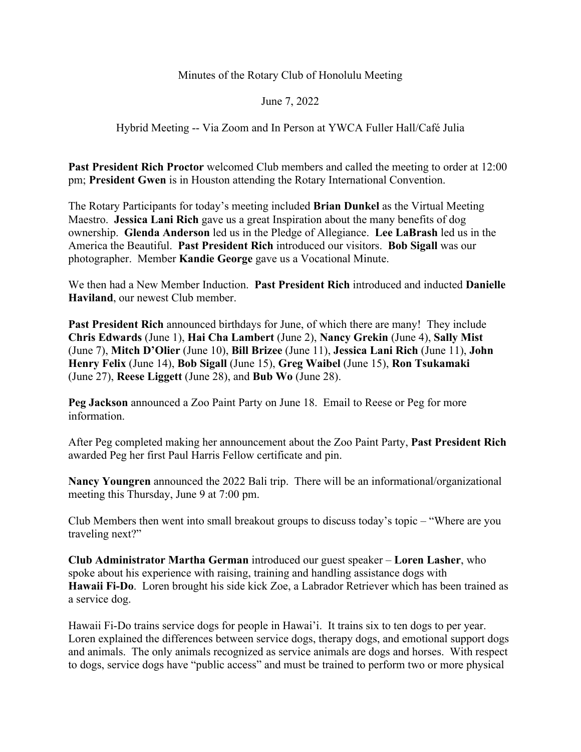## Minutes of the Rotary Club of Honolulu Meeting

## June 7, 2022

## Hybrid Meeting -- Via Zoom and In Person at YWCA Fuller Hall/Café Julia

**Past President Rich Proctor** welcomed Club members and called the meeting to order at 12:00 pm; **President Gwen** is in Houston attending the Rotary International Convention.

The Rotary Participants for today's meeting included **Brian Dunkel** as the Virtual Meeting Maestro. **Jessica Lani Rich** gave us a great Inspiration about the many benefits of dog ownership. **Glenda Anderson** led us in the Pledge of Allegiance. **Lee LaBrash** led us in the America the Beautiful. **Past President Rich** introduced our visitors. **Bob Sigall** was our photographer. Member **Kandie George** gave us a Vocational Minute.

We then had a New Member Induction. **Past President Rich** introduced and inducted **Danielle Haviland**, our newest Club member.

**Past President Rich** announced birthdays for June, of which there are many! They include **Chris Edwards** (June 1), **Hai Cha Lambert** (June 2), **Nancy Grekin** (June 4), **Sally Mist** (June 7), **Mitch D'Olier** (June 10), **Bill Brizee** (June 11), **Jessica Lani Rich** (June 11), **John Henry Felix** (June 14), **Bob Sigall** (June 15), **Greg Waibel** (June 15), **Ron Tsukamaki** (June 27), **Reese Liggett** (June 28), and **Bub Wo** (June 28).

**Peg Jackson** announced a Zoo Paint Party on June 18. Email to Reese or Peg for more information.

After Peg completed making her announcement about the Zoo Paint Party, **Past President Rich**  awarded Peg her first Paul Harris Fellow certificate and pin.

**Nancy Youngren** announced the 2022 Bali trip. There will be an informational/organizational meeting this Thursday, June 9 at 7:00 pm.

Club Members then went into small breakout groups to discuss today's topic – "Where are you traveling next?"

**Club Administrator Martha German** introduced our guest speaker – **Loren Lasher**, who spoke about his experience with raising, training and handling assistance dogs with **Hawaii Fi-Do**. Loren brought his side kick Zoe, a Labrador Retriever which has been trained as a service dog.

Hawaii Fi-Do trains service dogs for people in Hawai'i. It trains six to ten dogs to per year. Loren explained the differences between service dogs, therapy dogs, and emotional support dogs and animals. The only animals recognized as service animals are dogs and horses. With respect to dogs, service dogs have "public access" and must be trained to perform two or more physical